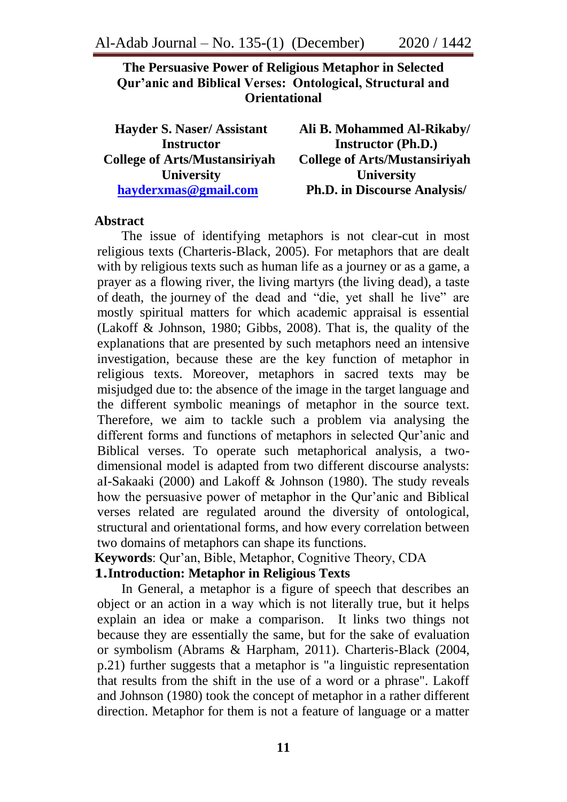## **The Persuasive Power of Religious Metaphor in Selected Qur'anic and Biblical Verses: Ontological, Structural and Orientational**

| <b>Hayder S. Naser/Assistant</b>     | Ali B. Mohammed Al-Rikaby/           |
|--------------------------------------|--------------------------------------|
| <b>Instructor</b>                    | <b>Instructor (Ph.D.)</b>            |
| <b>College of Arts/Mustansiriyah</b> | <b>College of Arts/Mustansiriyah</b> |
| <b>University</b>                    | <b>University</b>                    |
| hayderxmas@gmail.com                 | <b>Ph.D. in Discourse Analysis/</b>  |

#### **Abstract**

The issue of identifying metaphors is not clear-cut in most religious texts (Charteris-Black, 2005). For metaphors that are dealt with by religious texts such as human life as a journey or as a game, a prayer as a flowing river, the living martyrs (the living dead), a taste of death, the journey of the dead and "die, yet shall he live" are mostly spiritual matters for which academic appraisal is essential (Lakoff & Johnson, 1980; Gibbs, 2008). That is, the quality of the explanations that are presented by such metaphors need an intensive investigation, because these are the key function of metaphor in religious texts. Moreover, metaphors in sacred texts may be misjudged due to: the absence of the image in the target language and the different symbolic meanings of metaphor in the source text. Therefore, we aim to tackle such a problem via analysing the different forms and functions of metaphors in selected Our'anic and Biblical verses. To operate such metaphorical analysis, a twodimensional model is adapted from two different discourse analysts: aI-Sakaaki (2000) and Lakoff & Johnson (1980). The study reveals how the persuasive power of metaphor in the Qur'anic and Biblical verses related are regulated around the diversity of ontological, structural and orientational forms, and how every correlation between two domains of metaphors can shape its functions.

**Keywords**: Our'an, Bible, Metaphor, Cognitive Theory, CDA

#### **1.Introduction: Metaphor in Religious Texts**

In General, a metaphor is a figure of speech that describes an object or an action in a way which is not literally true, but it helps explain an idea or make a comparison. It links two things not because they are essentially the same, but for the sake of evaluation or symbolism (Abrams & Harpham, 2011). Charteris-Black (2004, p.21) further suggests that a metaphor is "a linguistic representation that results from the shift in the use of a word or a phrase". Lakoff and Johnson (1980) took the concept of metaphor in a rather different direction. Metaphor for them is not a feature of language or a matter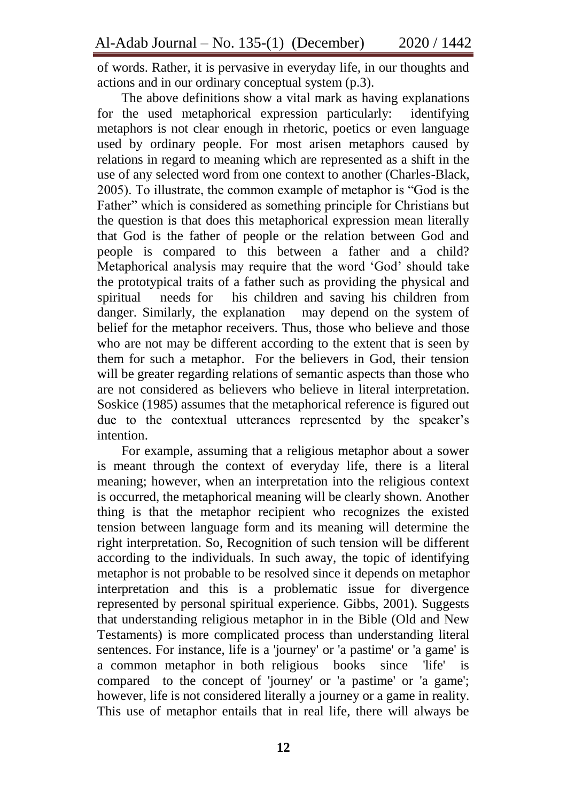of words. Rather, it is pervasive in everyday life, in our thoughts and actions and in our ordinary conceptual system (p.3).

The above definitions show a vital mark as having explanations for the used metaphorical expression particularly: identifying metaphors is not clear enough in rhetoric, poetics or even language used by ordinary people. For most arisen metaphors caused by relations in regard to meaning which are represented as a shift in the use of any selected word from one context to another (Charles-Black, 2005). To illustrate, the common example of metaphor is "God is the Father" which is considered as something principle for Christians but the question is that does this metaphorical expression mean literally that God is the father of people or the relation between God and people is compared to this between a father and a child? Metaphorical analysis may require that the word 'God' should take the prototypical traits of a father such as providing the physical and spiritual needs for his children and saving his children from danger. Similarly, the explanation may depend on the system of belief for the metaphor receivers. Thus, those who believe and those who are not may be different according to the extent that is seen by them for such a metaphor. For the believers in God, their tension will be greater regarding relations of semantic aspects than those who are not considered as believers who believe in literal interpretation. Soskice (1985) assumes that the metaphorical reference is figured out due to the contextual utterances represented by the speaker's intention.

For example, assuming that a religious metaphor about a sower is meant through the context of everyday life, there is a literal meaning; however, when an interpretation into the religious context is occurred, the metaphorical meaning will be clearly shown. Another thing is that the metaphor recipient who recognizes the existed tension between language form and its meaning will determine the right interpretation. So, Recognition of such tension will be different according to the individuals. In such away, the topic of identifying metaphor is not probable to be resolved since it depends on metaphor interpretation and this is a problematic issue for divergence represented by personal spiritual experience. Gibbs, 2001). Suggests that understanding religious metaphor in in the Bible (Old and New Testaments) is more complicated process than understanding literal sentences. For instance, life is a 'journey' or 'a pastime' or 'a game' is a common metaphor in both religious books since 'life' is compared to the concept of 'journey' or 'a pastime' or 'a game'; however, life is not considered literally a journey or a game in reality. This use of metaphor entails that in real life, there will always be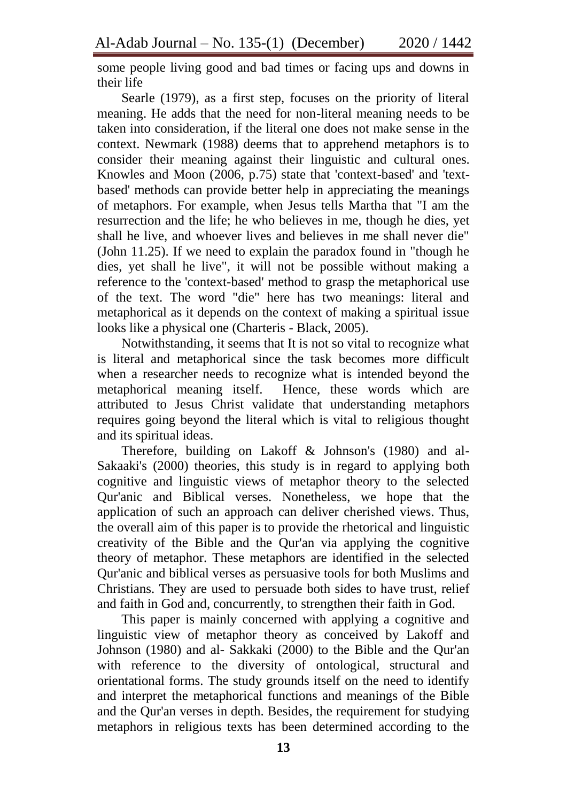some people living good and bad times or facing ups and downs in their life

Searle (1979), as a first step, focuses on the priority of literal meaning. He adds that the need for non-literal meaning needs to be taken into consideration, if the literal one does not make sense in the context. Newmark (1988) deems that to apprehend metaphors is to consider their meaning against their linguistic and cultural ones. Knowles and Moon (2006, p.75) state that 'context-based' and 'textbased' methods can provide better help in appreciating the meanings of metaphors. For example, when Jesus tells Martha that "I am the resurrection and the life; he who believes in me, though he dies, yet shall he live, and whoever lives and believes in me shall never die" (John 11.25). If we need to explain the paradox found in "though he dies, yet shall he live", it will not be possible without making a reference to the 'context-based' method to grasp the metaphorical use of the text. The word "die" here has two meanings: literal and metaphorical as it depends on the context of making a spiritual issue looks like a physical one (Charteris - Black, 2005).

Notwithstanding, it seems that It is not so vital to recognize what is literal and metaphorical since the task becomes more difficult when a researcher needs to recognize what is intended beyond the metaphorical meaning itself. Hence, these words which are attributed to Jesus Christ validate that understanding metaphors requires going beyond the literal which is vital to religious thought and its spiritual ideas.

Therefore, building on Lakoff & Johnson's (1980) and al-Sakaaki's (2000) theories, this study is in regard to applying both cognitive and linguistic views of metaphor theory to the selected Qur'anic and Biblical verses. Nonetheless, we hope that the application of such an approach can deliver cherished views. Thus, the overall aim of this paper is to provide the rhetorical and linguistic creativity of the Bible and the Qur'an via applying the cognitive theory of metaphor. These metaphors are identified in the selected Qur'anic and biblical verses as persuasive tools for both Muslims and Christians. They are used to persuade both sides to have trust, relief and faith in God and, concurrently, to strengthen their faith in God.

This paper is mainly concerned with applying a cognitive and linguistic view of metaphor theory as conceived by Lakoff and Johnson (1980) and al- Sakkaki (2000) to the Bible and the Qur'an with reference to the diversity of ontological, structural and orientational forms. The study grounds itself on the need to identify and interpret the metaphorical functions and meanings of the Bible and the Qur'an verses in depth. Besides, the requirement for studying metaphors in religious texts has been determined according to the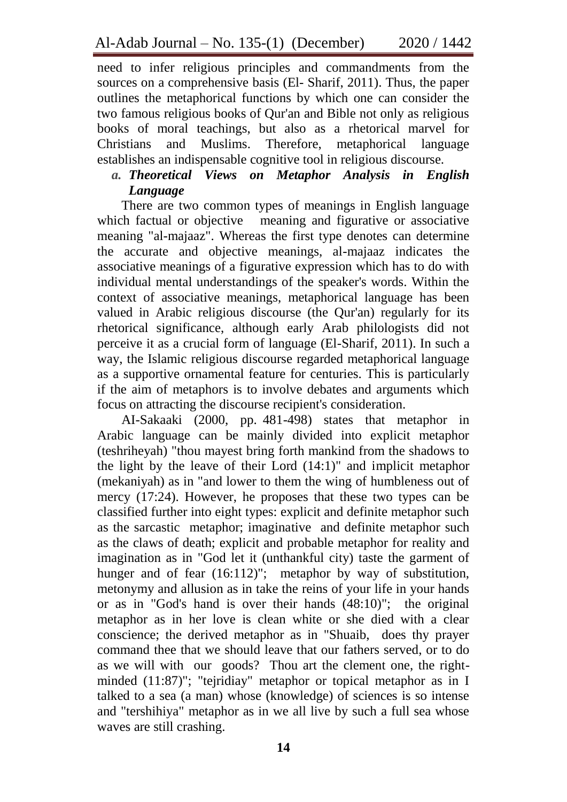need to infer religious principles and commandments from the sources on a comprehensive basis (El- Sharif, 2011). Thus, the paper outlines the metaphorical functions by which one can consider the two famous religious books of Qur'an and Bible not only as religious books of moral teachings, but also as a rhetorical marvel for Christians and Muslims. Therefore, metaphorical language establishes an indispensable cognitive tool in religious discourse.

*a. Theoretical Views on Metaphor Analysis in English Language*

There are two common types of meanings in English language which factual or objective meaning and figurative or associative meaning "al-majaaz". Whereas the first type denotes can determine the accurate and objective meanings, al-majaaz indicates the associative meanings of a figurative expression which has to do with individual mental understandings of the speaker's words. Within the context of associative meanings, metaphorical language has been valued in Arabic religious discourse (the Qur'an) regularly for its rhetorical significance, although early Arab philologists did not perceive it as a crucial form of language (El-Sharif, 2011). In such a way, the Islamic religious discourse regarded metaphorical language as a supportive ornamental feature for centuries. This is particularly if the aim of metaphors is to involve debates and arguments which focus on attracting the discourse recipient's consideration.

AI-Sakaaki (2000, pp. 481-498) states that metaphor in Arabic language can be mainly divided into explicit metaphor (teshriheyah) "thou mayest bring forth mankind from the shadows to the light by the leave of their Lord (14:1)" and implicit metaphor (mekaniyah) as in "and lower to them the wing of humbleness out of mercy (17:24). However, he proposes that these two types can be classified further into eight types: explicit and definite metaphor such as the sarcastic metaphor; imaginative and definite metaphor such as the claws of death; explicit and probable metaphor for reality and imagination as in "God let it (unthankful city) taste the garment of hunger and of fear (16:112)"; metaphor by way of substitution, metonymy and allusion as in take the reins of your life in your hands or as in "God's hand is over their hands (48:10)"; the original metaphor as in her love is clean white or she died with a clear conscience; the derived metaphor as in "Shuaib, does thy prayer command thee that we should leave that our fathers served, or to do as we will with our goods? Thou art the clement one, the rightminded (11:87)"; "tejridiay" metaphor or topical metaphor as in I talked to a sea (a man) whose (knowledge) of sciences is so intense and "tershihiya" metaphor as in we all live by such a full sea whose waves are still crashing.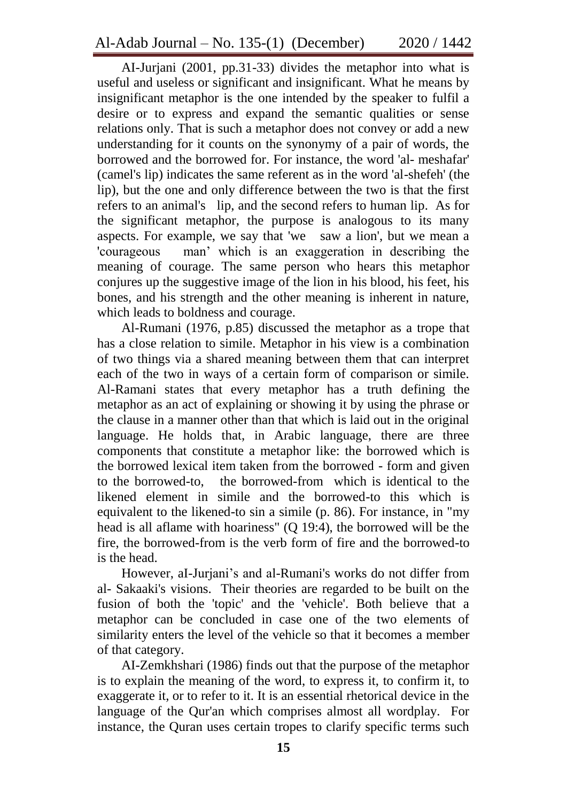AI-Jurjani (2001, pp.31-33) divides the metaphor into what is useful and useless or significant and insignificant. What he means by insignificant metaphor is the one intended by the speaker to fulfil a desire or to express and expand the semantic qualities or sense relations only. That is such a metaphor does not convey or add a new understanding for it counts on the synonymy of a pair of words, the borrowed and the borrowed for. For instance, the word 'al- meshafar' (camel's lip) indicates the same referent as in the word 'al-shefeh' (the lip), but the one and only difference between the two is that the first refers to an animal's lip, and the second refers to human lip. As for the significant metaphor, the purpose is analogous to its many aspects. For example, we say that 'we saw a lion', but we mean a 'courageous man" which is an exaggeration in describing the meaning of courage. The same person who hears this metaphor conjures up the suggestive image of the lion in his blood, his feet, his bones, and his strength and the other meaning is inherent in nature, which leads to boldness and courage.

Al-Rumani (1976, p.85) discussed the metaphor as a trope that has a close relation to simile. Metaphor in his view is a combination of two things via a shared meaning between them that can interpret each of the two in ways of a certain form of comparison or simile. Al-Ramani states that every metaphor has a truth defining the metaphor as an act of explaining or showing it by using the phrase or the clause in a manner other than that which is laid out in the original language. He holds that, in Arabic language, there are three components that constitute a metaphor like: the borrowed which is the borrowed lexical item taken from the borrowed - form and given to the borrowed-to, the borrowed-from which is identical to the likened element in simile and the borrowed-to this which is equivalent to the likened-to sin a simile (p. 86). For instance, in "my head is all aflame with hoariness" (Q 19:4), the borrowed will be the fire, the borrowed-from is the verb form of fire and the borrowed-to is the head.

However, aI-Jurjani"s and al-Rumani's works do not differ from al- Sakaaki's visions. Their theories are regarded to be built on the fusion of both the 'topic' and the 'vehicle'. Both believe that a metaphor can be concluded in case one of the two elements of similarity enters the level of the vehicle so that it becomes a member of that category.

AI-Zemkhshari (1986) finds out that the purpose of the metaphor is to explain the meaning of the word, to express it, to confirm it, to exaggerate it, or to refer to it. It is an essential rhetorical device in the language of the Qur'an which comprises almost all wordplay. For instance, the Quran uses certain tropes to clarify specific terms such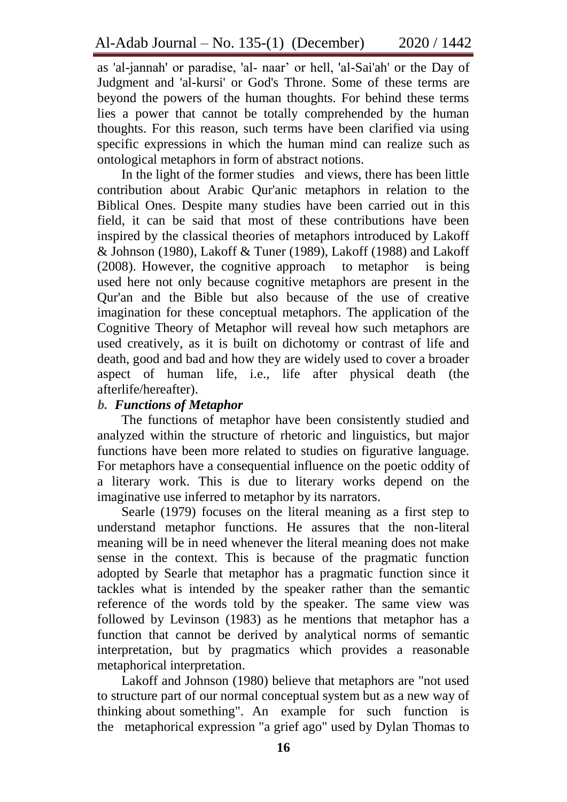as 'al-jannah' or paradise, 'al- naar' or hell, 'al-Sai'ah' or the Day of Judgment and 'al-kursi' or God's Throne. Some of these terms are beyond the powers of the human thoughts. For behind these terms lies a power that cannot be totally comprehended by the human thoughts. For this reason, such terms have been clarified via using specific expressions in which the human mind can realize such as ontological metaphors in form of abstract notions.

In the light of the former studies and views, there has been little contribution about Arabic Qur'anic metaphors in relation to the Biblical Ones. Despite many studies have been carried out in this field, it can be said that most of these contributions have been inspired by the classical theories of metaphors introduced by Lakoff & Johnson (1980), Lakoff & Tuner (1989), Lakoff (1988) and Lakoff (2008). However, the cognitive approach to metaphor is being used here not only because cognitive metaphors are present in the Qur'an and the Bible but also because of the use of creative imagination for these conceptual metaphors. The application of the Cognitive Theory of Metaphor will reveal how such metaphors are used creatively, as it is built on dichotomy or contrast of life and death, good and bad and how they are widely used to cover a broader aspect of human life, i.e., life after physical death (the afterlife/hereafter).

## *b. Functions of Metaphor*

The functions of metaphor have been consistently studied and analyzed within the structure of rhetoric and linguistics, but major functions have been more related to studies on figurative language. For metaphors have a consequential influence on the poetic oddity of a literary work. This is due to literary works depend on the imaginative use inferred to metaphor by its narrators.

Searle (1979) focuses on the literal meaning as a first step to understand metaphor functions. He assures that the non-literal meaning will be in need whenever the literal meaning does not make sense in the context. This is because of the pragmatic function adopted by Searle that metaphor has a pragmatic function since it tackles what is intended by the speaker rather than the semantic reference of the words told by the speaker. The same view was followed by Levinson (1983) as he mentions that metaphor has a function that cannot be derived by analytical norms of semantic interpretation, but by pragmatics which provides a reasonable metaphorical interpretation.

Lakoff and Johnson (1980) believe that metaphors are "not used to structure part of our normal conceptual system but as a new way of thinking about something". An example for such function is the metaphorical expression "a grief ago" used by Dylan Thomas to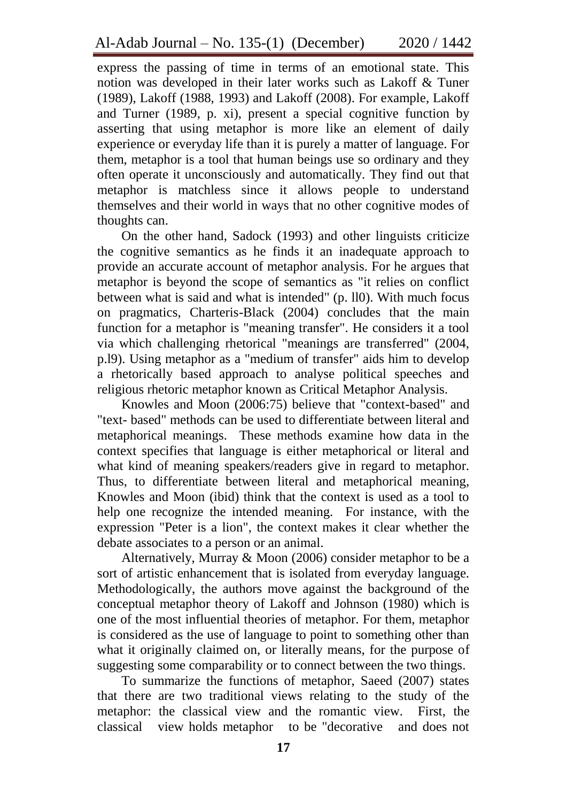express the passing of time in terms of an emotional state. This notion was developed in their later works such as Lakoff & Tuner (1989), Lakoff (1988, 1993) and Lakoff (2008). For example, Lakoff and Turner (1989, p. xi), present a special cognitive function by asserting that using metaphor is more like an element of daily experience or everyday life than it is purely a matter of language. For them, metaphor is a tool that human beings use so ordinary and they often operate it unconsciously and automatically. They find out that metaphor is matchless since it allows people to understand themselves and their world in ways that no other cognitive modes of thoughts can.

On the other hand, Sadock (1993) and other linguists criticize the cognitive semantics as he finds it an inadequate approach to provide an accurate account of metaphor analysis. For he argues that metaphor is beyond the scope of semantics as "it relies on conflict between what is said and what is intended" (p. ll0). With much focus on pragmatics, Charteris-Black (2004) concludes that the main function for a metaphor is "meaning transfer". He considers it a tool via which challenging rhetorical "meanings are transferred" (2004, p.l9). Using metaphor as a "medium of transfer" aids him to develop a rhetorically based approach to analyse political speeches and religious rhetoric metaphor known as Critical Metaphor Analysis.

Knowles and Moon (2006:75) believe that "context-based" and "text- based" methods can be used to differentiate between literal and metaphorical meanings. These methods examine how data in the context specifies that language is either metaphorical or literal and what kind of meaning speakers/readers give in regard to metaphor. Thus, to differentiate between literal and metaphorical meaning, Knowles and Moon (ibid) think that the context is used as a tool to help one recognize the intended meaning. For instance, with the expression "Peter is a lion", the context makes it clear whether the debate associates to a person or an animal.

Alternatively, Murray & Moon (2006) consider metaphor to be a sort of artistic enhancement that is isolated from everyday language. Methodologically, the authors move against the background of the conceptual metaphor theory of Lakoff and Johnson (1980) which is one of the most influential theories of metaphor. For them, metaphor is considered as the use of language to point to something other than what it originally claimed on, or literally means, for the purpose of suggesting some comparability or to connect between the two things.

To summarize the functions of metaphor, Saeed (2007) states that there are two traditional views relating to the study of the metaphor: the classical view and the romantic view. First, the classical view holds metaphor to be "decorative and does not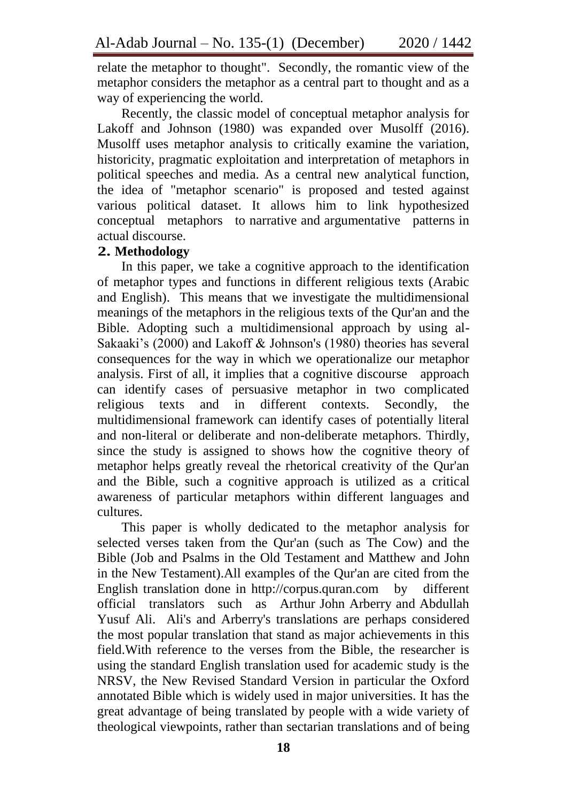relate the metaphor to thought". Secondly, the romantic view of the metaphor considers the metaphor as a central part to thought and as a way of experiencing the world.

Recently, the classic model of conceptual metaphor analysis for Lakoff and Johnson (1980) was expanded over Musolff (2016). Musolff uses metaphor analysis to critically examine the variation, historicity, pragmatic exploitation and interpretation of metaphors in political speeches and media. As a central new analytical function, the idea of "metaphor scenario" is proposed and tested against various political dataset. It allows him to link hypothesized conceptual metaphors to narrative and argumentative patterns in actual discourse.

## **2. Methodology**

In this paper, we take a cognitive approach to the identification of metaphor types and functions in different religious texts (Arabic and English). This means that we investigate the multidimensional meanings of the metaphors in the religious texts of the Qur'an and the Bible. Adopting such a multidimensional approach by using al-Sakaaki's (2000) and Lakoff & Johnson's (1980) theories has several consequences for the way in which we operationalize our metaphor analysis. First of all, it implies that a cognitive discourse approach can identify cases of persuasive metaphor in two complicated religious texts and in different contexts. Secondly, the multidimensional framework can identify cases of potentially literal and non-literal or deliberate and non-deliberate metaphors. Thirdly, since the study is assigned to shows how the cognitive theory of metaphor helps greatly reveal the rhetorical creativity of the Qur'an and the Bible, such a cognitive approach is utilized as a critical awareness of particular metaphors within different languages and cultures.

This paper is wholly dedicated to the metaphor analysis for selected verses taken from the Qur'an (such as The Cow) and the Bible (Job and Psalms in the Old Testament and Matthew and John in the New Testament).All examples of the Qur'an are cited from the English translation done in http://corpus.quran.com by different official translators such as Arthur John Arberry and Abdullah Yusuf Ali. Ali's and Arberry's translations are perhaps considered the most popular translation that stand as major achievements in this field.With reference to the verses from the Bible, the researcher is using the standard English translation used for academic study is the NRSV, the New Revised Standard Version in particular the Oxford annotated Bible which is widely used in major universities. It has the great advantage of being translated by people with a wide variety of theological viewpoints, rather than sectarian translations and of being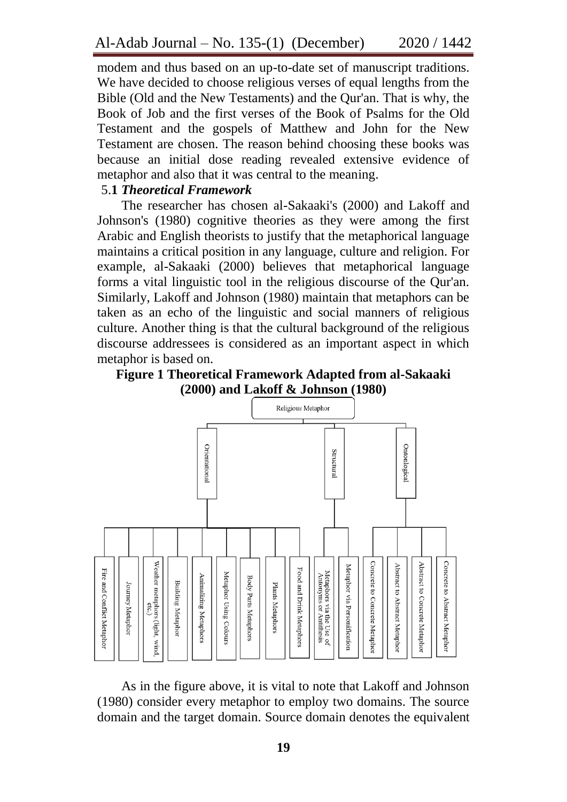modem and thus based on an up-to-date set of manuscript traditions. We have decided to choose religious verses of equal lengths from the Bible (Old and the New Testaments) and the Qur'an. That is why, the Book of Job and the first verses of the Book of Psalms for the Old Testament and the gospels of Matthew and John for the New Testament are chosen. The reason behind choosing these books was because an initial dose reading revealed extensive evidence of metaphor and also that it was central to the meaning.

#### 5.**1** *Theoretical Framework*

The researcher has chosen al-Sakaaki's (2000) and Lakoff and Johnson's (1980) cognitive theories as they were among the first Arabic and English theorists to justify that the metaphorical language maintains a critical position in any language, culture and religion. For example, al-Sakaaki (2000) believes that metaphorical language forms a vital linguistic tool in the religious discourse of the Qur'an. Similarly, Lakoff and Johnson (1980) maintain that metaphors can be taken as an echo of the linguistic and social manners of religious culture. Another thing is that the cultural background of the religious discourse addressees is considered as an important aspect in which metaphor is based on.

**Figure 1 Theoretical Framework Adapted from al-Sakaaki (2000) and Lakoff & Johnson (1980)**



As in the figure above, it is vital to note that Lakoff and Johnson (1980) consider every metaphor to employ two domains. The source domain and the target domain. Source domain denotes the equivalent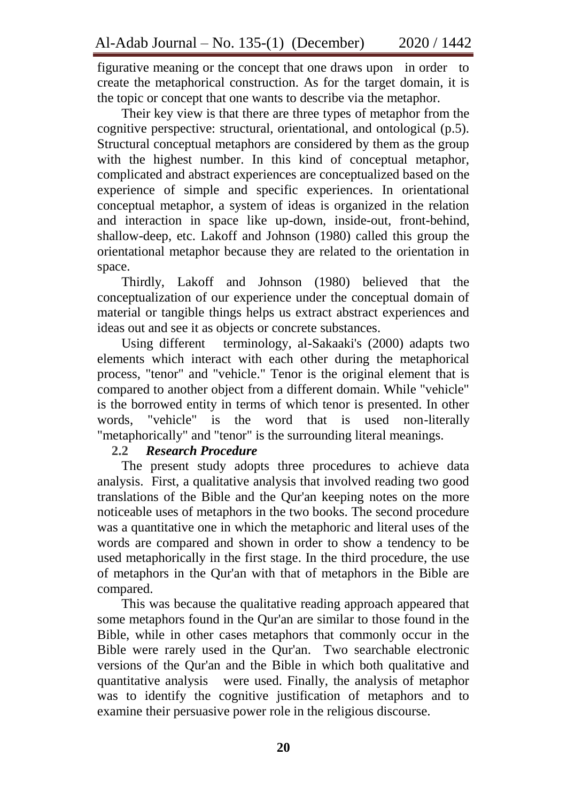figurative meaning or the concept that one draws upon in order to create the metaphorical construction. As for the target domain, it is the topic or concept that one wants to describe via the metaphor.

Their key view is that there are three types of metaphor from the cognitive perspective: structural, orientational, and ontological (p.5). Structural conceptual metaphors are considered by them as the group with the highest number. In this kind of conceptual metaphor, complicated and abstract experiences are conceptualized based on the experience of simple and specific experiences. In orientational conceptual metaphor, a system of ideas is organized in the relation and interaction in space like up-down, inside-out, front-behind, shallow-deep, etc. Lakoff and Johnson (1980) called this group the orientational metaphor because they are related to the orientation in space.

Thirdly, Lakoff and Johnson (1980) believed that the conceptualization of our experience under the conceptual domain of material or tangible things helps us extract abstract experiences and ideas out and see it as objects or concrete substances.

Using different terminology, al-Sakaaki's (2000) adapts two elements which interact with each other during the metaphorical process, "tenor" and "vehicle." Tenor is the original element that is compared to another object from a different domain. While "vehicle" is the borrowed entity in terms of which tenor is presented. In other words, "vehicle" is the word that is used non-literally "metaphorically" and "tenor" is the surrounding literal meanings.

## **2.2** *Research Procedure*

The present study adopts three procedures to achieve data analysis. First, a qualitative analysis that involved reading two good translations of the Bible and the Qur'an keeping notes on the more noticeable uses of metaphors in the two books. The second procedure was a quantitative one in which the metaphoric and literal uses of the words are compared and shown in order to show a tendency to be used metaphorically in the first stage. In the third procedure, the use of metaphors in the Qur'an with that of metaphors in the Bible are compared.

This was because the qualitative reading approach appeared that some metaphors found in the Qur'an are similar to those found in the Bible, while in other cases metaphors that commonly occur in the Bible were rarely used in the Qur'an. Two searchable electronic versions of the Qur'an and the Bible in which both qualitative and quantitative analysis were used. Finally, the analysis of metaphor was to identify the cognitive justification of metaphors and to examine their persuasive power role in the religious discourse.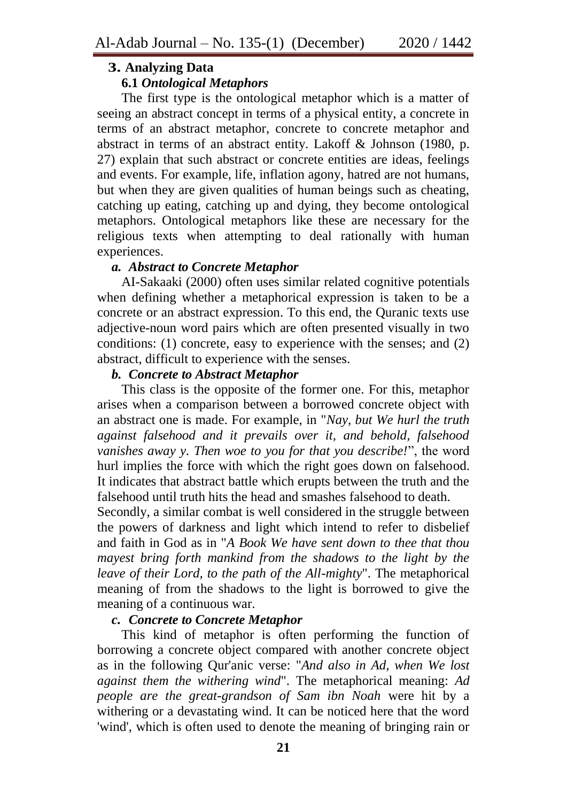# **3. Analyzing Data**

# **6.1** *Ontological Metaphors*

The first type is the ontological metaphor which is a matter of seeing an abstract concept in terms of a physical entity, a concrete in terms of an abstract metaphor, concrete to concrete metaphor and abstract in terms of an abstract entity. Lakoff & Johnson (1980, p. 27) explain that such abstract or concrete entities are ideas, feelings and events. For example, life, inflation agony, hatred are not humans, but when they are given qualities of human beings such as cheating, catching up eating, catching up and dying, they become ontological metaphors. Ontological metaphors like these are necessary for the religious texts when attempting to deal rationally with human experiences.

## *a. Abstract to Concrete Metaphor*

AI-Sakaaki (2000) often uses similar related cognitive potentials when defining whether a metaphorical expression is taken to be a concrete or an abstract expression. To this end, the Quranic texts use adjective-noun word pairs which are often presented visually in two conditions: (1) concrete, easy to experience with the senses; and (2) abstract, difficult to experience with the senses.

## *b. Concrete to Abstract Metaphor*

This class is the opposite of the former one. For this, metaphor arises when a comparison between a borrowed concrete object with an abstract one is made. For example, in "*Nay, but We hurl the truth against falsehood and it prevails over it, and behold, falsehood vanishes away y. Then woe to you for that you describe!*", the word hurl implies the force with which the right goes down on falsehood. It indicates that abstract battle which erupts between the truth and the falsehood until truth hits the head and smashes falsehood to death.

Secondly, a similar combat is well considered in the struggle between the powers of darkness and light which intend to refer to disbelief and faith in God as in "*A Book We have sent down to thee that thou mayest bring forth mankind from the shadows to the light by the leave of their Lord, to the path of the All-mighty*". The metaphorical meaning of from the shadows to the light is borrowed to give the meaning of a continuous war.

## *c. Concrete to Concrete Metaphor*

This kind of metaphor is often performing the function of borrowing a concrete object compared with another concrete object as in the following Qur'anic verse: "*And also in Ad, when We lost against them the withering wind*". The metaphorical meaning: *Ad people are the great-grandson of Sam ibn Noah* were hit by a withering or a devastating wind. It can be noticed here that the word 'wind', which is often used to denote the meaning of bringing rain or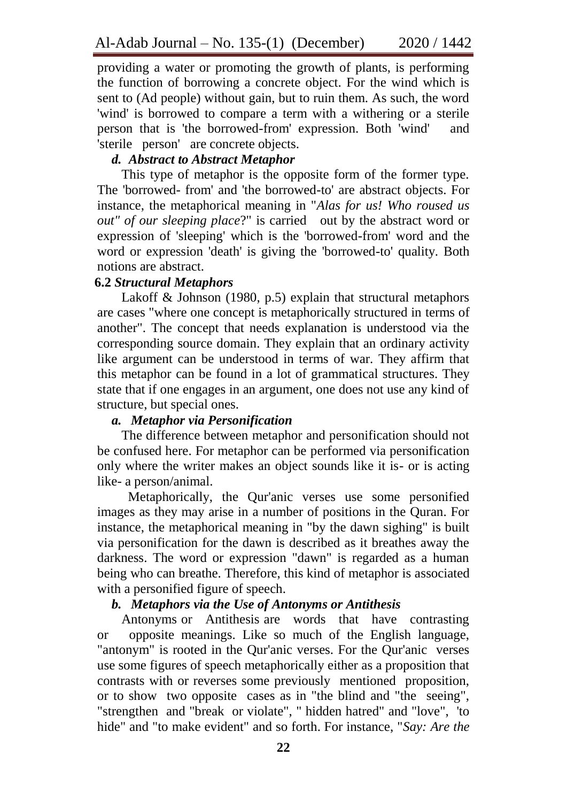providing a water or promoting the growth of plants, is performing the function of borrowing a concrete object. For the wind which is sent to (Ad people) without gain, but to ruin them. As such, the word 'wind' is borrowed to compare a term with a withering or a sterile person that is 'the borrowed-from' expression. Both 'wind' and 'sterile person' are concrete objects.

## *d. Abstract to Abstract Metaphor*

This type of metaphor is the opposite form of the former type. The 'borrowed- from' and 'the borrowed-to' are abstract objects. For instance, the metaphorical meaning in "*Alas for us! Who roused us out" of our sleeping place*?" is carried out by the abstract word or expression of 'sleeping' which is the 'borrowed-from' word and the word or expression 'death' is giving the 'borrowed-to' quality. Both notions are abstract.

#### **6.2** *Structural Metaphors*

Lakoff & Johnson (1980, p.5) explain that structural metaphors are cases "where one concept is metaphorically structured in terms of another". The concept that needs explanation is understood via the corresponding source domain. They explain that an ordinary activity like argument can be understood in terms of war. They affirm that this metaphor can be found in a lot of grammatical structures. They state that if one engages in an argument, one does not use any kind of structure, but special ones.

#### *a. Metaphor via Personification*

The difference between metaphor and personification should not be confused here. For metaphor can be performed via personification only where the writer makes an object sounds like it is- or is acting like- a person/animal.

Metaphorically, the Qur'anic verses use some personified images as they may arise in a number of positions in the Quran. For instance, the metaphorical meaning in "by the dawn sighing" is built via personification for the dawn is described as it breathes away the darkness. The word or expression "dawn" is regarded as a human being who can breathe. Therefore, this kind of metaphor is associated with a personified figure of speech.

## *b. Metaphors via the Use of Antonyms or Antithesis*

Antonyms or Antithesis are words that have contrasting or opposite meanings. Like so much of the English language, "antonym" is rooted in the Qur'anic verses. For the Qur'anic verses use some figures of speech metaphorically either as a proposition that contrasts with or reverses some previously mentioned proposition, or to show two opposite cases as in "the blind and "the seeing", "strengthen and "break or violate", " hidden hatred" and "love", 'to hide" and "to make evident" and so forth. For instance, "*Say: Are the*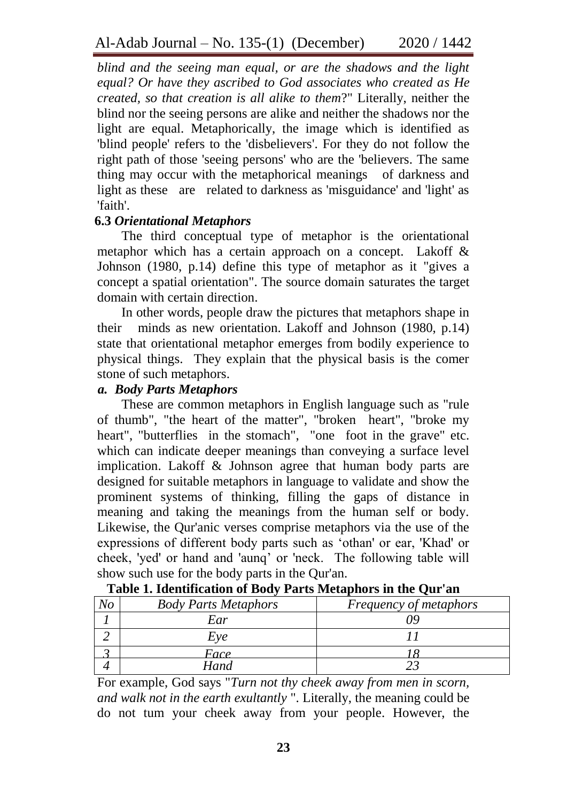*blind and the seeing man equal, or are the shadows and the light equal? Or have they ascribed to God associates who created as He created, so that creation is all alike to them*?" Literally, neither the blind nor the seeing persons are alike and neither the shadows nor the light are equal. Metaphorically, the image which is identified as 'blind people' refers to the 'disbelievers'. For they do not follow the right path of those 'seeing persons' who are the 'believers. The same thing may occur with the metaphorical meanings of darkness and light as these are related to darkness as 'misguidance' and 'light' as 'faith'.

## **6.3** *Orientational Metaphors*

The third conceptual type of metaphor is the orientational metaphor which has a certain approach on a concept. Lakoff & Johnson (1980, p.14) define this type of metaphor as it "gives a concept a spatial orientation". The source domain saturates the target domain with certain direction.

In other words, people draw the pictures that metaphors shape in their minds as new orientation. Lakoff and Johnson (1980, p.14) state that orientational metaphor emerges from bodily experience to physical things. They explain that the physical basis is the comer stone of such metaphors.

## *a. Body Parts Metaphors*

These are common metaphors in English language such as "rule of thumb", "the heart of the matter", "broken heart", "broke my heart", "butterflies in the stomach", "one foot in the grave" etc. which can indicate deeper meanings than conveying a surface level implication. Lakoff & Johnson agree that human body parts are designed for suitable metaphors in language to validate and show the prominent systems of thinking, filling the gaps of distance in meaning and taking the meanings from the human self or body. Likewise, the Qur'anic verses comprise metaphors via the use of the expressions of different body parts such as "othan' or ear, 'Khad' or cheek, 'yed' or hand and 'aunq" or 'neck. The following table will show such use for the body parts in the Qur'an.

| <b>Body Parts Metaphors</b> | Frequency of metaphors |
|-----------------------------|------------------------|
| Ear                         |                        |
| Eve                         |                        |
| Face                        |                        |
| Hand                        |                        |

## **Table 1. Identification of Body Parts Metaphors in the Qur'an**

For example, God says "*Turn not thy cheek away from men in scorn, and walk not in the earth exultantly* ". Literally, the meaning could be do not tum your cheek away from your people. However, the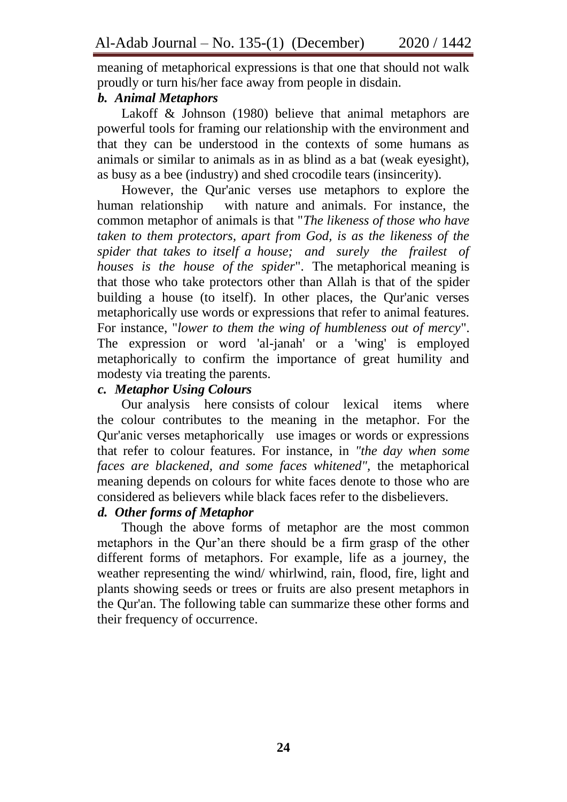meaning of metaphorical expressions is that one that should not walk proudly or turn his/her face away from people in disdain.

## *b. Animal Metaphors*

Lakoff & Johnson (1980) believe that animal metaphors are powerful tools for framing our relationship with the environment and that they can be understood in the contexts of some humans as animals or similar to animals as in as blind as a bat (weak eyesight), as busy as a bee (industry) and shed crocodile tears (insincerity).

However, the Qur'anic verses use metaphors to explore the human relationship with nature and animals. For instance, the common metaphor of animals is that "*The likeness of those who have taken to them protectors, apart from God, is as the likeness of the spider that takes to itself a house; and surely the frailest of houses is the house of the spider*". The metaphorical meaning is that those who take protectors other than Allah is that of the spider building a house (to itself). In other places, the Qur'anic verses metaphorically use words or expressions that refer to animal features. For instance, "*lower to them the wing of humbleness out of mercy*". The expression or word 'al-janah' or a 'wing' is employed metaphorically to confirm the importance of great humility and modesty via treating the parents.

# *c. Metaphor Using Colours*

Our analysis here consists of colour lexical items where the colour contributes to the meaning in the metaphor. For the Qur'anic verses metaphorically use images or words or expressions that refer to colour features. For instance, in *"the day when some faces are blackened, and some faces whitened",* the metaphorical meaning depends on colours for white faces denote to those who are considered as believers while black faces refer to the disbelievers.

## *d. Other forms of Metaphor*

Though the above forms of metaphor are the most common metaphors in the Qur'an there should be a firm grasp of the other different forms of metaphors. For example, life as a journey, the weather representing the wind/ whirlwind, rain, flood, fire, light and plants showing seeds or trees or fruits are also present metaphors in the Qur'an. The following table can summarize these other forms and their frequency of occurrence.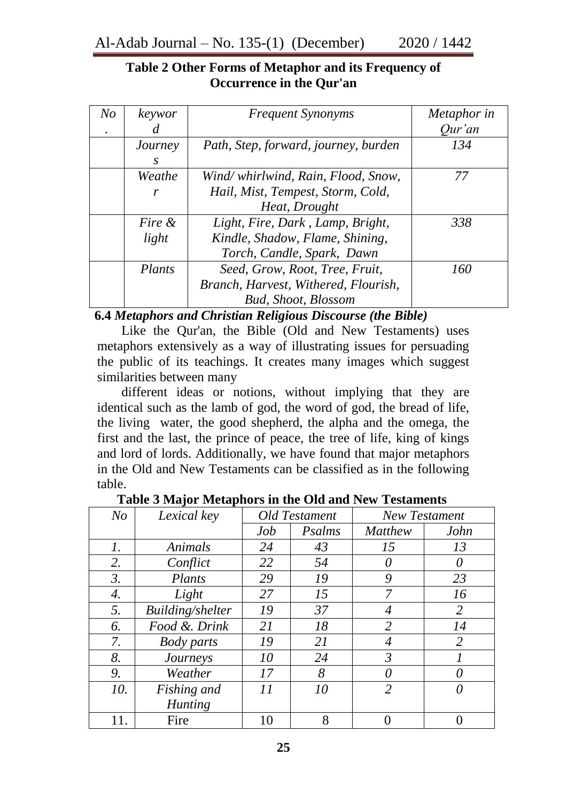## **Table 2 Other Forms of Metaphor and its Frequency of Occurrence in the Qur'an**

| N o | keywor  | <b>Frequent Synonyms</b>             | Metaphor in |
|-----|---------|--------------------------------------|-------------|
|     |         |                                      | Our'an      |
|     | Journey | Path, Step, forward, journey, burden | 134         |
|     | S.      |                                      |             |
|     | Weathe  | Wind/whirlwind, Rain, Flood, Snow,   | 77          |
|     | r       | Hail, Mist, Tempest, Storm, Cold,    |             |
|     |         | Heat, Drought                        |             |
|     | Fire &  | Light, Fire, Dark, Lamp, Bright,     | 338         |
|     | light   | Kindle, Shadow, Flame, Shining,      |             |
|     |         | Torch, Candle, Spark, Dawn           |             |
|     | Plants  | Seed, Grow, Root, Tree, Fruit,       | 160         |
|     |         | Branch, Harvest, Withered, Flourish, |             |
|     |         | <b>Bud, Shoot, Blossom</b>           |             |

**6.4** *Metaphors and Christian Religious Discourse (the Bible)*

Like the Qur'an, the Bible (Old and New Testaments) uses metaphors extensively as a way of illustrating issues for persuading the public of its teachings. It creates many images which suggest similarities between many

different ideas or notions, without implying that they are identical such as the lamb of god, the word of god, the bread of life, the living water, the good shepherd, the alpha and the omega, the first and the last, the prince of peace, the tree of life, king of kings and lord of lords. Additionally, we have found that major metaphors in the Old and New Testaments can be classified as in the following table.

| N <sub>O</sub> | Lexical key       | <b>Old Testament</b> |        | <b>New Testament</b> |                |
|----------------|-------------------|----------------------|--------|----------------------|----------------|
|                |                   | Job                  | Psalms | <b>Matthew</b>       | John           |
| 1.             | Animals           | 24                   | 43     | 15                   | 13             |
| 2.             | Conflict          | 22                   | 54     | $\theta$             | $\theta$       |
| 3.             | Plants            | 29                   | 19     | 9                    | 23             |
| 4.             | Light             | 27                   | 15     | 7                    | 16             |
| 5.             | Building/shelter  | 19                   | 37     | 4                    | 2              |
| 6.             | Food &. Drink     | 21                   | 18     | 2                    | 14             |
| 7.             | <b>Body</b> parts | 19                   | 21     | 4                    | $\overline{2}$ |
| 8.             | Journeys          | 10                   | 24     | $\mathfrak{Z}$       |                |
| 9.             | Weather           | 17                   | 8      | $\theta$             | 0              |
| 10.            | Fishing and       | 11                   | 10     | $\overline{2}$       | 0              |
|                | <b>Hunting</b>    |                      |        |                      |                |
|                | Fire              | 10                   | 8      |                      |                |

**Table 3 Major Metaphors in the Old and New Testaments**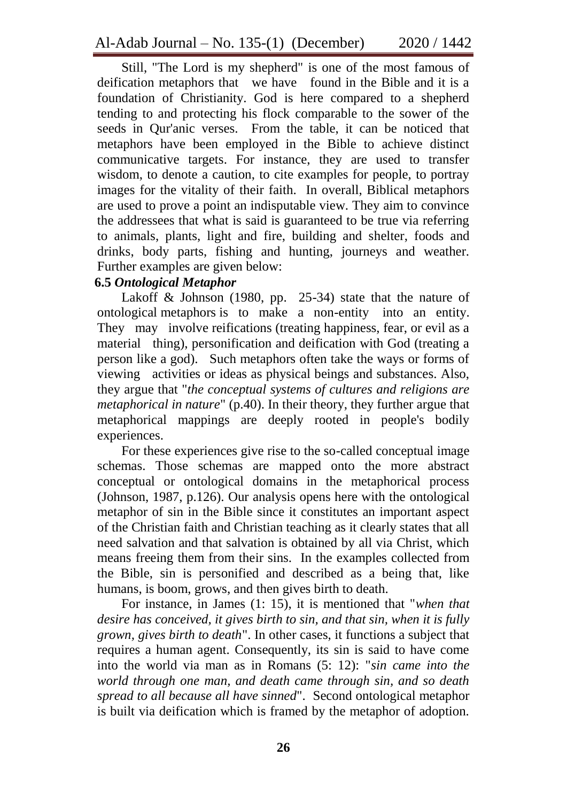Still, "The Lord is my shepherd" is one of the most famous of deification metaphors that we have found in the Bible and it is a foundation of Christianity. God is here compared to a shepherd tending to and protecting his flock comparable to the sower of the seeds in Qur'anic verses. From the table, it can be noticed that metaphors have been employed in the Bible to achieve distinct communicative targets. For instance, they are used to transfer wisdom, to denote a caution, to cite examples for people, to portray images for the vitality of their faith. In overall, Biblical metaphors are used to prove a point an indisputable view. They aim to convince the addressees that what is said is guaranteed to be true via referring to animals, plants, light and fire, building and shelter, foods and drinks, body parts, fishing and hunting, journeys and weather. Further examples are given below:

## **6.5** *Ontological Metaphor*

Lakoff & Johnson (1980, pp.  $25-34$ ) state that the nature of ontological metaphors is to make a non-entity into an entity. They may involve reifications (treating happiness, fear, or evil as a material thing), personification and deification with God (treating a person like a god). Such metaphors often take the ways or forms of viewing activities or ideas as physical beings and substances. Also, they argue that "*the conceptual systems of cultures and religions are metaphorical in nature*" (p.40). In their theory, they further argue that metaphorical mappings are deeply rooted in people's bodily experiences.

For these experiences give rise to the so-called conceptual image schemas. Those schemas are mapped onto the more abstract conceptual or ontological domains in the metaphorical process (Johnson, 1987, p.126). Our analysis opens here with the ontological metaphor of sin in the Bible since it constitutes an important aspect of the Christian faith and Christian teaching as it clearly states that all need salvation and that salvation is obtained by all via Christ, which means freeing them from their sins. In the examples collected from the Bible, sin is personified and described as a being that, like humans, is boom, grows, and then gives birth to death.

For instance, in James (1: 15), it is mentioned that "*when that desire has conceived, it gives birth to sin, and that sin, when it is fully grown, gives birth to death*". In other cases, it functions a subject that requires a human agent. Consequently, its sin is said to have come into the world via man as in Romans (5: 12): "*sin came into the world through one man, and death came through sin, and so death spread to all because all have sinned*". Second ontological metaphor is built via deification which is framed by the metaphor of adoption.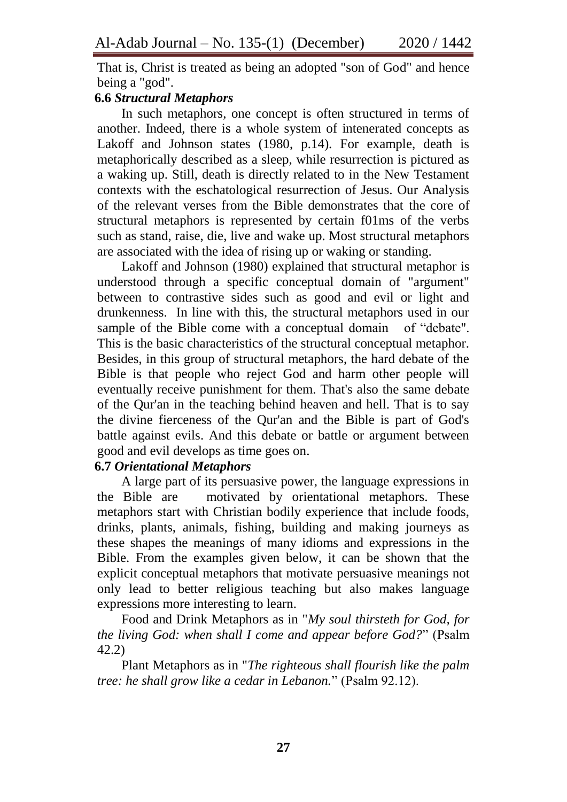That is, Christ is treated as being an adopted "son of God" and hence being a "god".

## **6.6** *Structural Metaphors*

In such metaphors, one concept is often structured in terms of another. Indeed, there is a whole system of intenerated concepts as Lakoff and Johnson states (1980, p.14). For example, death is metaphorically described as a sleep, while resurrection is pictured as a waking up. Still, death is directly related to in the New Testament contexts with the eschatological resurrection of Jesus. Our Analysis of the relevant verses from the Bible demonstrates that the core of structural metaphors is represented by certain f01ms of the verbs such as stand, raise, die, live and wake up. Most structural metaphors are associated with the idea of rising up or waking or standing.

Lakoff and Johnson (1980) explained that structural metaphor is understood through a specific conceptual domain of "argument" between to contrastive sides such as good and evil or light and drunkenness. In line with this, the structural metaphors used in our sample of the Bible come with a conceptual domain of "debate". This is the basic characteristics of the structural conceptual metaphor. Besides, in this group of structural metaphors, the hard debate of the Bible is that people who reject God and harm other people will eventually receive punishment for them. That's also the same debate of the Qur'an in the teaching behind heaven and hell. That is to say the divine fierceness of the Qur'an and the Bible is part of God's battle against evils. And this debate or battle or argument between good and evil develops as time goes on.

# **6.7** *Orientational Metaphors*

A large part of its persuasive power, the language expressions in the Bible are motivated by orientational metaphors. These metaphors start with Christian bodily experience that include foods, drinks, plants, animals, fishing, building and making journeys as these shapes the meanings of many idioms and expressions in the Bible. From the examples given below, it can be shown that the explicit conceptual metaphors that motivate persuasive meanings not only lead to better religious teaching but also makes language expressions more interesting to learn.

Food and Drink Metaphors as in "*My soul thirsteth for God, for the living God: when shall I come and appear before God?*" (Psalm 42.2)

Plant Metaphors as in "*The righteous shall flourish like the palm tree: he shall grow like a cedar in Lebanon.*" (Psalm 92.12).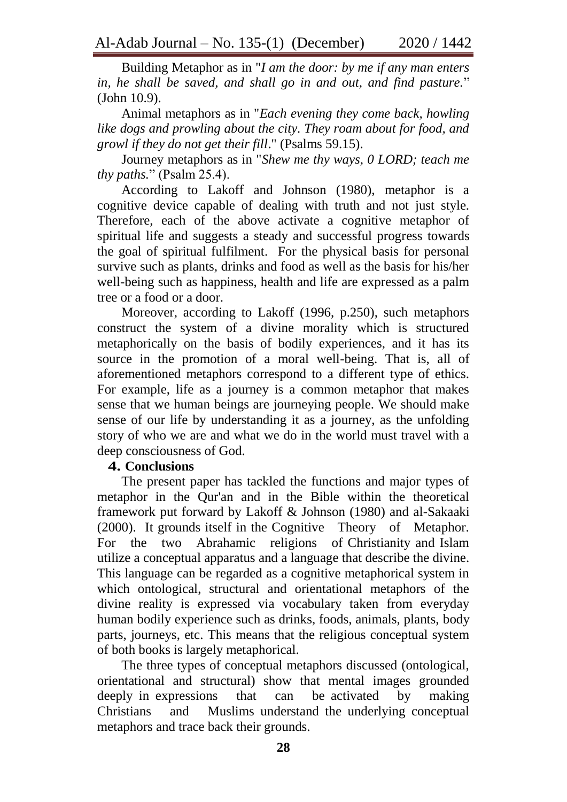Building Metaphor as in "*I am the door: by me if any man enters in, he shall be saved, and shall go in and out, and find pasture.*" (John 10.9).

Animal metaphors as in "*Each evening they come back, howling like dogs and prowling about the city. They roam about for food, and growl if they do not get their fill*." (Psalms 59.15).

Journey metaphors as in "*Shew me thy ways, 0 LORD; teach me thy paths.*" (Psalm 25.4).

According to Lakoff and Johnson (1980), metaphor is a cognitive device capable of dealing with truth and not just style. Therefore, each of the above activate a cognitive metaphor of spiritual life and suggests a steady and successful progress towards the goal of spiritual fulfilment. For the physical basis for personal survive such as plants, drinks and food as well as the basis for his/her well-being such as happiness, health and life are expressed as a palm tree or a food or a door.

Moreover, according to Lakoff (1996, p.250), such metaphors construct the system of a divine morality which is structured metaphorically on the basis of bodily experiences, and it has its source in the promotion of a moral well-being. That is, all of aforementioned metaphors correspond to a different type of ethics. For example, life as a journey is a common metaphor that makes sense that we human beings are journeying people. We should make sense of our life by understanding it as a journey, as the unfolding story of who we are and what we do in the world must travel with a deep consciousness of God.

## **4. Conclusions**

The present paper has tackled the functions and major types of metaphor in the Qur'an and in the Bible within the theoretical framework put forward by Lakoff & Johnson (1980) and al-Sakaaki (2000). It grounds itself in the Cognitive Theory of Metaphor. For the two Abrahamic religions of Christianity and Islam utilize a conceptual apparatus and a language that describe the divine. This language can be regarded as a cognitive metaphorical system in which ontological, structural and orientational metaphors of the divine reality is expressed via vocabulary taken from everyday human bodily experience such as drinks, foods, animals, plants, body parts, journeys, etc. This means that the religious conceptual system of both books is largely metaphorical.

The three types of conceptual metaphors discussed (ontological, orientational and structural) show that mental images grounded deeply in expressions that can be activated by making Christians and Muslims understand the underlying conceptual metaphors and trace back their grounds.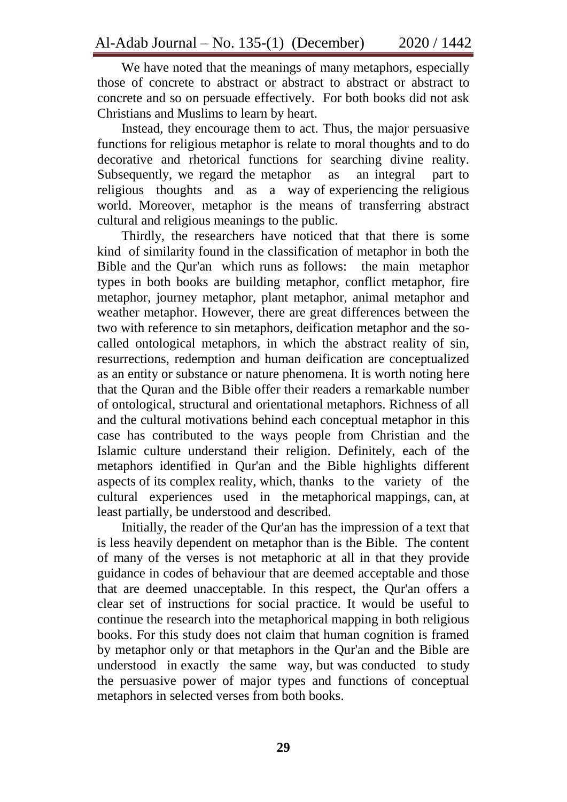We have noted that the meanings of many metaphors, especially those of concrete to abstract or abstract to abstract or abstract to concrete and so on persuade effectively. For both books did not ask Christians and Muslims to learn by heart.

Instead, they encourage them to act. Thus, the major persuasive functions for religious metaphor is relate to moral thoughts and to do decorative and rhetorical functions for searching divine reality. Subsequently, we regard the metaphor as an integral part to religious thoughts and as a way of experiencing the religious world. Moreover, metaphor is the means of transferring abstract cultural and religious meanings to the public.

Thirdly, the researchers have noticed that that there is some kind of similarity found in the classification of metaphor in both the Bible and the Qur'an which runs as follows: the main metaphor types in both books are building metaphor, conflict metaphor, fire metaphor, journey metaphor, plant metaphor, animal metaphor and weather metaphor. However, there are great differences between the two with reference to sin metaphors, deification metaphor and the socalled ontological metaphors, in which the abstract reality of sin, resurrections, redemption and human deification are conceptualized as an entity or substance or nature phenomena. It is worth noting here that the Quran and the Bible offer their readers a remarkable number of ontological, structural and orientational metaphors. Richness of all and the cultural motivations behind each conceptual metaphor in this case has contributed to the ways people from Christian and the Islamic culture understand their religion. Definitely, each of the metaphors identified in Qur'an and the Bible highlights different aspects of its complex reality, which, thanks to the variety of the cultural experiences used in the metaphorical mappings, can, at least partially, be understood and described.

Initially, the reader of the Qur'an has the impression of a text that is less heavily dependent on metaphor than is the Bible. The content of many of the verses is not metaphoric at all in that they provide guidance in codes of behaviour that are deemed acceptable and those that are deemed unacceptable. In this respect, the Qur'an offers a clear set of instructions for social practice. It would be useful to continue the research into the metaphorical mapping in both religious books. For this study does not claim that human cognition is framed by metaphor only or that metaphors in the Qur'an and the Bible are understood in exactly the same way, but was conducted to study the persuasive power of major types and functions of conceptual metaphors in selected verses from both books.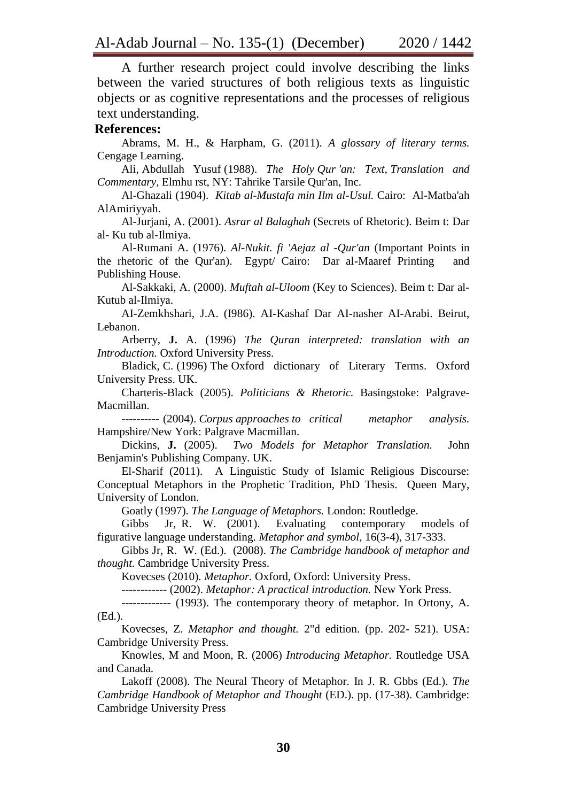A further research project could involve describing the links between the varied structures of both religious texts as linguistic objects or as cognitive representations and the processes of religious text understanding.

#### **References:**

Abrams, M. H., & Harpham, G. (2011). *A glossary of literary terms.*  Cengage Learning.

Ali, Abdullah Yusuf (1988). *The Holy Qur 'an: Text, Translation and Commentary,* Elmhu rst, NY: Tahrike Tarsile Qur'an, Inc.

Al-Ghazali (1904). *Kitab al-Mustafa min Ilm al-Usul.* Cairo: Al-Matba'ah AlAmiriyyah.

Al-Jurjani, A. (2001). *Asrar al Balaghah* (Secrets of Rhetoric). Beim t: Dar al- Ku tub al-Ilmiya.

Al-Rumani A. (1976). *Al-Nukit. fi 'Aejaz al -Qur'an* (Important Points in the rhetoric of the Qur'an). Egypt/ Cairo: Dar al-Maaref Printing and Publishing House.

Al-Sakkaki, A. (2000). *Muftah al-Uloom* (Key to Sciences). Beim t: Dar al-Kutub al-Ilmiya.

AI-Zemkhshari, J.A. (I986). AI-Kashaf Dar AI-nasher AI-Arabi. Beirut, Lebanon.

Arberry, **J.** A. (1996) *The Quran interpreted: translation with an Introduction.* Oxford University Press.

Bladick, C. (1996) The Oxford dictionary of Literary Terms. Oxford University Press. UK.

Charteris-Black (2005). *Politicians & Rhetoric.* Basingstoke: Palgrave-Macmillan.

---------- (2004). *Corpus approaches to critical metaphor analysis.* Hampshire/New York: Palgrave Macmillan.

Dickins, **J.** (2005). *Two Models for Metaphor Translation.* John Benjamin's Publishing Company. UK.

El-Sharif (2011). A Linguistic Study of Islamic Religious Discourse: Conceptual Metaphors in the Prophetic Tradition, PhD Thesis. Queen Mary, University of London.

Goatly (1997). *The Language of Metaphors.* London: Routledge.

Gibbs Jr, R. W. (2001). Evaluating contemporary models of figurative language understanding. *Metaphor and symbol,* 16(3-4), 317-333.

Gibbs Jr, R. W. (Ed.). (2008). *The Cambridge handbook of metaphor and thought.* Cambridge University Press.

Kovecses (2010). *Metaphor.* Oxford, Oxford: University Press.

------------ (2002). *Metaphor: A practical introduction.* New York Press.

------------- (1993). The contemporary theory of metaphor. In Ortony, A. (Ed.).

Kovecses, Z. *Metaphor and thought.* 2"d edition. (pp. 202- 521). USA: Cambridge University Press.

Knowles, M and Moon, R. (2006) *Introducing Metaphor.* Routledge USA and Canada.

Lakoff (2008). The Neural Theory of Metaphor. In J. R. Gbbs (Ed.). *The Cambridge Handbook of Metaphor and Thought* (ED.). pp. (17-38). Cambridge: Cambridge University Press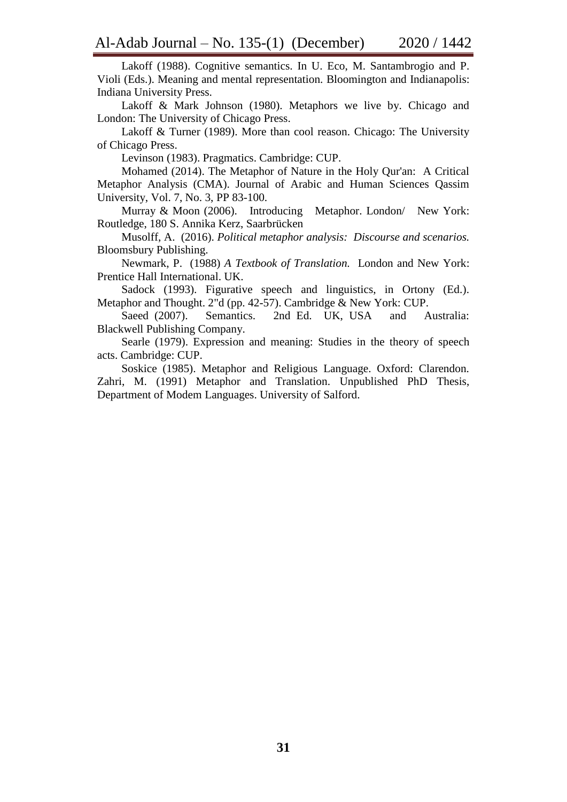Lakoff (1988). Cognitive semantics. In U. Eco, M. Santambrogio and P. Violi (Eds.). Meaning and mental representation. Bloomington and Indianapolis: Indiana University Press.

Lakoff & Mark Johnson (1980). Metaphors we live by. Chicago and London: The University of Chicago Press.

Lakoff & Turner (1989). More than cool reason. Chicago: The University of Chicago Press.

Levinson (1983). Pragmatics. Cambridge: CUP.

Mohamed (2014). The Metaphor of Nature in the Holy Qur'an: A Critical Metaphor Analysis (CMA). Journal of Arabic and Human Sciences Qassim University, Vol. 7, No. 3, PP 83-100.

Murray & Moon (2006). Introducing Metaphor. London/ New York: Routledge, 180 S. Annika Kerz, Saarbrücken

Musolff, A. (2016). *Political metaphor analysis: Discourse and scenarios.* Bloomsbury Publishing.

Newmark, P. (1988) *A Textbook of Translation.* London and New York: Prentice Hall International. UK.

Sadock (1993). Figurative speech and linguistics, in Ortony (Ed.). Metaphor and Thought. 2"d (pp. 42-57). Cambridge & New York: CUP.

Saeed (2007). Semantics. 2nd Ed. UK, USA and Australia: Blackwell Publishing Company.

Searle (1979). Expression and meaning: Studies in the theory of speech acts. Cambridge: CUP.

Soskice (1985). Metaphor and Religious Language. Oxford: Clarendon. Zahri, M. (1991) Metaphor and Translation. Unpublished PhD Thesis, Department of Modem Languages. University of Salford.